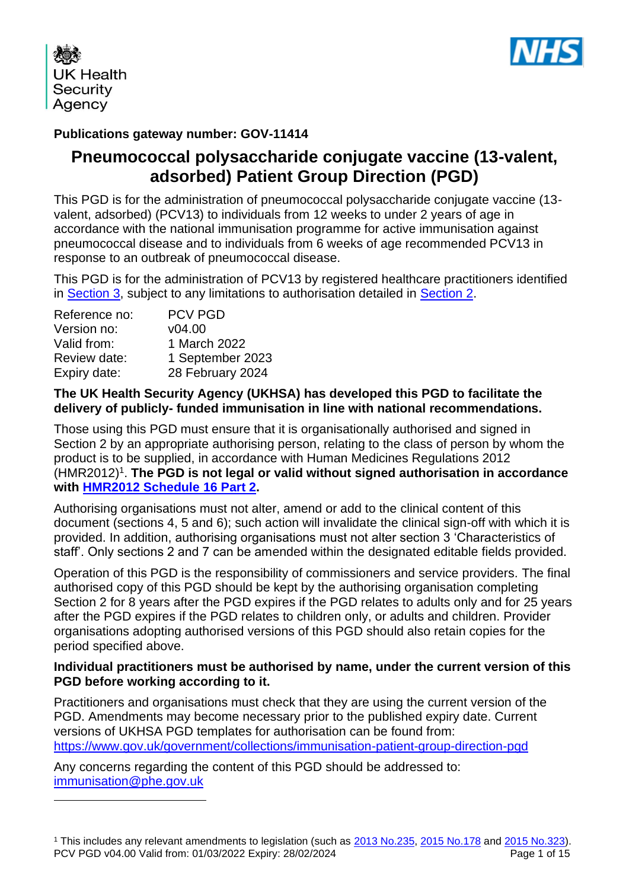

**UK Health** Security Agency

### **Publications gateway number: GOV-11414**

# **Pneumococcal polysaccharide conjugate vaccine (13-valent, adsorbed) Patient Group Direction (PGD)**

This PGD is for the administration of pneumococcal polysaccharide conjugate vaccine (13 valent, adsorbed) (PCV13) to individuals from 12 weeks to under 2 years of age in accordance with the national immunisation programme for active immunisation against pneumococcal disease and to individuals from 6 weeks of age recommended PCV13 in response to an outbreak of pneumococcal disease.

This PGD is for the administration of PCV13 by registered healthcare practitioners identified in [Section 3,](#page-5-0) subject to any limitations to authorisation detailed in [Section 2.](#page-4-0)

| Reference no: | <b>PCV PGD</b>   |
|---------------|------------------|
| Version no:   | V04.00           |
| Valid from:   | 1 March 2022     |
| Review date:  | 1 September 2023 |
| Expiry date:  | 28 February 2024 |
|               |                  |

#### **The UK Health Security Agency (UKHSA) has developed this PGD to facilitate the delivery of publicly- funded immunisation in line with national recommendations.**

Those using this PGD must ensure that it is organisationally authorised and signed in Section 2 by an appropriate authorising person, relating to the class of person by whom the product is to be supplied, in accordance with Human Medicines Regulations 2012 (HMR2012)<sup>1</sup>. The PGD is not legal or valid without signed authorisation in accordance **with [HMR2012 Schedule](http://www.legislation.gov.uk/uksi/2012/1916/schedule/16/part/2/made) 16 Part 2.** 

Authorising organisations must not alter, amend or add to the clinical content of this document (sections 4, 5 and 6); such action will invalidate the clinical sign-off with which it is provided. In addition, authorising organisations must not alter section 3 'Characteristics of staff'. Only sections 2 and 7 can be amended within the designated editable fields provided.

Operation of this PGD is the responsibility of commissioners and service providers. The final authorised copy of this PGD should be kept by the authorising organisation completing Section 2 for 8 years after the PGD expires if the PGD relates to adults only and for 25 years after the PGD expires if the PGD relates to children only, or adults and children. Provider organisations adopting authorised versions of this PGD should also retain copies for the period specified above.

#### **Individual practitioners must be authorised by name, under the current version of this PGD before working according to it.**

Practitioners and organisations must check that they are using the current version of the PGD. Amendments may become necessary prior to the published expiry date. Current versions of UKHSA PGD templates for authorisation can be found from: <https://www.gov.uk/government/collections/immunisation-patient-group-direction-pgd>

Any concerns regarding the content of this PGD should be addressed to: [immunisation@phe.gov.uk](mailto:Immunisation@phe.gov.uk)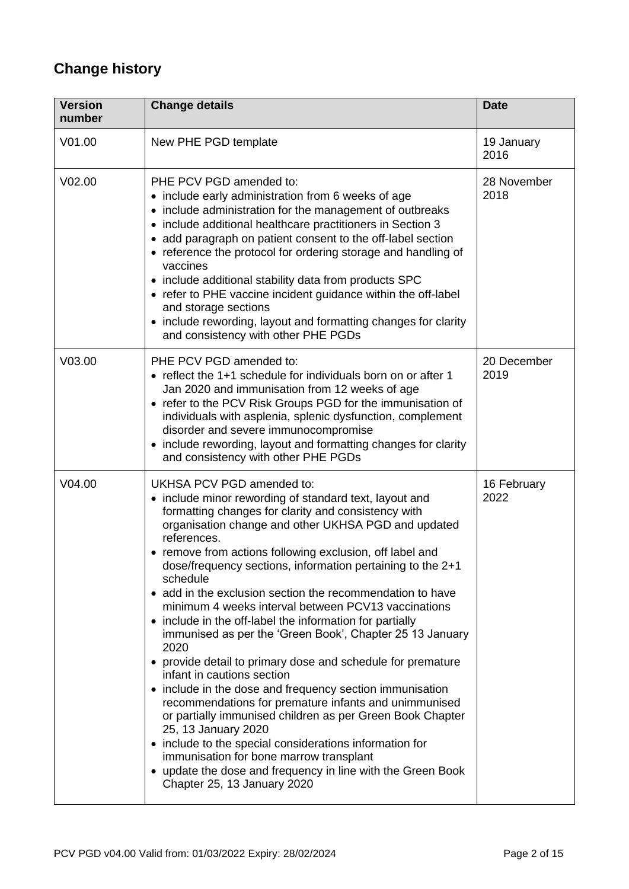# **Change history**

| <b>Version</b><br>number | <b>Change details</b>                                                                                                                                                                                                                                                                                                                                                                                                                                                                                                                                                                                                                                                                                                                                                                                                                                                                                                                                                                                                                                                                                                | <b>Date</b>         |
|--------------------------|----------------------------------------------------------------------------------------------------------------------------------------------------------------------------------------------------------------------------------------------------------------------------------------------------------------------------------------------------------------------------------------------------------------------------------------------------------------------------------------------------------------------------------------------------------------------------------------------------------------------------------------------------------------------------------------------------------------------------------------------------------------------------------------------------------------------------------------------------------------------------------------------------------------------------------------------------------------------------------------------------------------------------------------------------------------------------------------------------------------------|---------------------|
| V01.00                   | New PHE PGD template                                                                                                                                                                                                                                                                                                                                                                                                                                                                                                                                                                                                                                                                                                                                                                                                                                                                                                                                                                                                                                                                                                 | 19 January<br>2016  |
| V02.00                   | PHE PCV PGD amended to:<br>• include early administration from 6 weeks of age<br>• include administration for the management of outbreaks<br>• include additional healthcare practitioners in Section 3<br>• add paragraph on patient consent to the off-label section<br>• reference the protocol for ordering storage and handling of<br>vaccines<br>• include additional stability data from products SPC<br>• refer to PHE vaccine incident guidance within the off-label<br>and storage sections<br>• include rewording, layout and formatting changes for clarity<br>and consistency with other PHE PGDs                                                                                                                                                                                                                                                                                                                                                                                                                                                                                                       | 28 November<br>2018 |
| V <sub>03.00</sub>       | PHE PCV PGD amended to:<br>• reflect the 1+1 schedule for individuals born on or after 1<br>Jan 2020 and immunisation from 12 weeks of age<br>• refer to the PCV Risk Groups PGD for the immunisation of<br>individuals with asplenia, splenic dysfunction, complement<br>disorder and severe immunocompromise<br>• include rewording, layout and formatting changes for clarity<br>and consistency with other PHE PGDs                                                                                                                                                                                                                                                                                                                                                                                                                                                                                                                                                                                                                                                                                              | 20 December<br>2019 |
| V04.00                   | UKHSA PCV PGD amended to:<br>• include minor rewording of standard text, layout and<br>formatting changes for clarity and consistency with<br>organisation change and other UKHSA PGD and updated<br>references.<br>• remove from actions following exclusion, off label and<br>dose/frequency sections, information pertaining to the 2+1<br>schedule<br>• add in the exclusion section the recommendation to have<br>minimum 4 weeks interval between PCV13 vaccinations<br>• include in the off-label the information for partially<br>immunised as per the 'Green Book', Chapter 25 13 January<br>2020<br>• provide detail to primary dose and schedule for premature<br>infant in cautions section<br>• include in the dose and frequency section immunisation<br>recommendations for premature infants and unimmunised<br>or partially immunised children as per Green Book Chapter<br>25, 13 January 2020<br>• include to the special considerations information for<br>immunisation for bone marrow transplant<br>• update the dose and frequency in line with the Green Book<br>Chapter 25, 13 January 2020 | 16 February<br>2022 |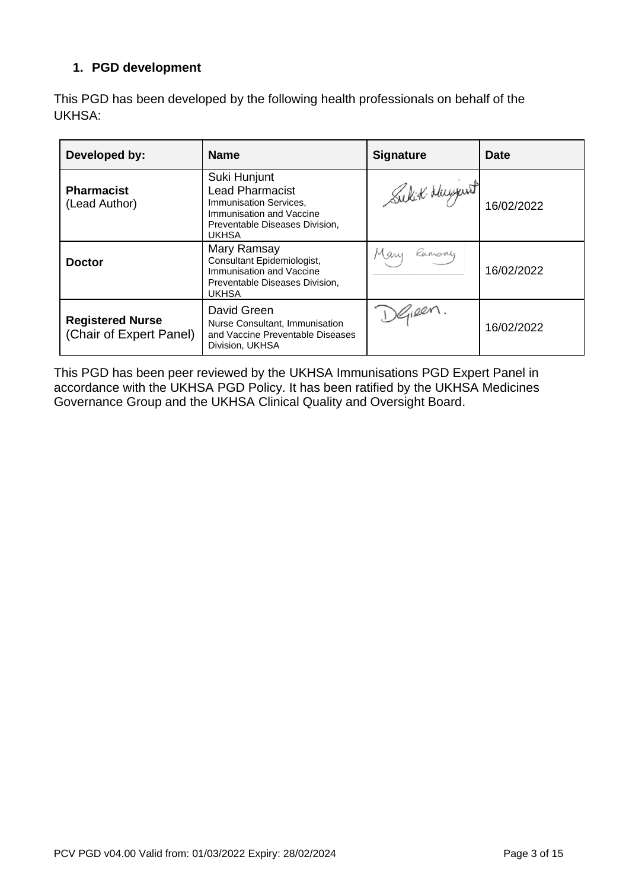### **1. PGD development**

This PGD has been developed by the following health professionals on behalf of the UKHSA:

| Developed by:                                      | <b>Name</b>                                                                                                                                    | <b>Signature</b> | <b>Date</b> |
|----------------------------------------------------|------------------------------------------------------------------------------------------------------------------------------------------------|------------------|-------------|
| <b>Pharmacist</b><br>(Lead Author)                 | Suki Hunjunt<br><b>Lead Pharmacist</b><br>Immunisation Services,<br>Immunisation and Vaccine<br>Preventable Diseases Division,<br><b>UKHSA</b> | Sulit Huyunt     | 16/02/2022  |
| <b>Doctor</b>                                      | Mary Ramsay<br>Consultant Epidemiologist,<br>Immunisation and Vaccine<br>Preventable Diseases Division,<br><b>UKHSA</b>                        | Mary<br>Ramsay   | 16/02/2022  |
| <b>Registered Nurse</b><br>(Chair of Expert Panel) | David Green<br>Nurse Consultant, Immunisation<br>and Vaccine Preventable Diseases<br>Division, UKHSA                                           | SGIREN.          | 16/02/2022  |

This PGD has been peer reviewed by the UKHSA Immunisations PGD Expert Panel in accordance with the UKHSA PGD Policy. It has been ratified by the UKHSA Medicines Governance Group and the UKHSA Clinical Quality and Oversight Board.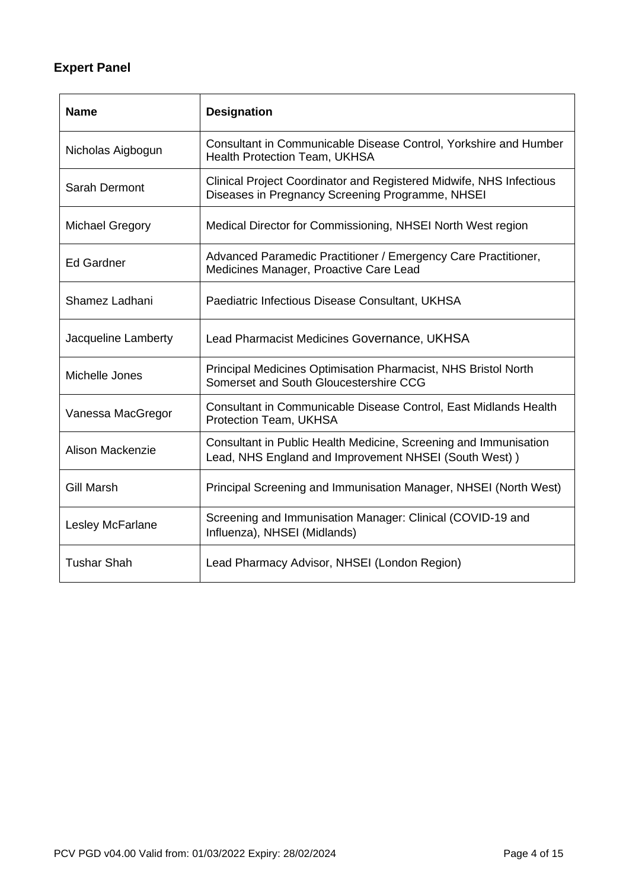# **Expert Panel**

| <b>Name</b>            | <b>Designation</b>                                                                                                        |
|------------------------|---------------------------------------------------------------------------------------------------------------------------|
| Nicholas Aigbogun      | Consultant in Communicable Disease Control, Yorkshire and Humber<br>Health Protection Team, UKHSA                         |
| Sarah Dermont          | Clinical Project Coordinator and Registered Midwife, NHS Infectious<br>Diseases in Pregnancy Screening Programme, NHSEI   |
| <b>Michael Gregory</b> | Medical Director for Commissioning, NHSEI North West region                                                               |
| <b>Ed Gardner</b>      | Advanced Paramedic Practitioner / Emergency Care Practitioner,<br>Medicines Manager, Proactive Care Lead                  |
| Shamez Ladhani         | Paediatric Infectious Disease Consultant, UKHSA                                                                           |
| Jacqueline Lamberty    | Lead Pharmacist Medicines Governance, UKHSA                                                                               |
| Michelle Jones         | Principal Medicines Optimisation Pharmacist, NHS Bristol North<br>Somerset and South Gloucestershire CCG                  |
| Vanessa MacGregor      | Consultant in Communicable Disease Control, East Midlands Health<br>Protection Team, UKHSA                                |
| Alison Mackenzie       | Consultant in Public Health Medicine, Screening and Immunisation<br>Lead, NHS England and Improvement NHSEI (South West)) |
| <b>Gill Marsh</b>      | Principal Screening and Immunisation Manager, NHSEI (North West)                                                          |
| Lesley McFarlane       | Screening and Immunisation Manager: Clinical (COVID-19 and<br>Influenza), NHSEI (Midlands)                                |
| <b>Tushar Shah</b>     | Lead Pharmacy Advisor, NHSEI (London Region)                                                                              |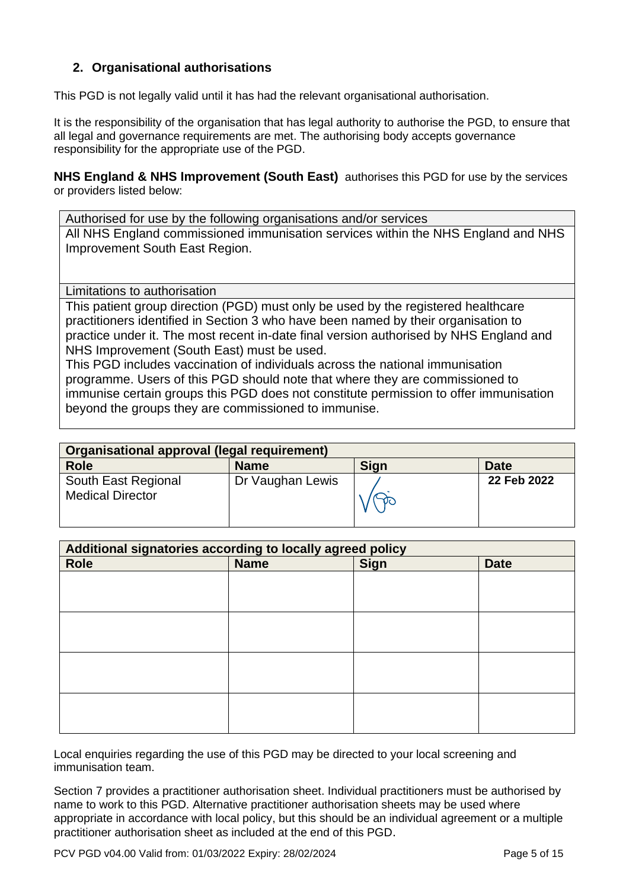### <span id="page-4-0"></span>**2. Organisational authorisations**

This PGD is not legally valid until it has had the relevant organisational authorisation.

It is the responsibility of the organisation that has legal authority to authorise the PGD, to ensure that all legal and governance requirements are met. The authorising body accepts governance responsibility for the appropriate use of the PGD.

**NHS England & NHS Improvement (South East)** authorises this PGD for use by the services or providers listed below:

Authorised for use by the following organisations and/or services All NHS England commissioned immunisation services within the NHS England and NHS Improvement South East Region.

<span id="page-4-1"></span>Limitations to authorisation

This patient group direction (PGD) must only be used by the registered healthcare practitioners identified in Section 3 who have been named by their organisation to practice under it. The most recent in-date final version authorised by NHS England and NHS Improvement (South East) must be used.

This PGD includes vaccination of individuals across the national immunisation programme. Users of this PGD should note that where they are commissioned to immunise certain groups this PGD does not constitute permission to offer immunisation beyond the groups they are commissioned to immunise.

| Organisational approval (legal requirement)    |                  |             |             |
|------------------------------------------------|------------------|-------------|-------------|
| <b>Role</b>                                    | <b>Name</b>      | <b>Sign</b> | <b>Date</b> |
| South East Regional<br><b>Medical Director</b> | Dr Vaughan Lewis |             | 22 Feb 2022 |

| Additional signatories according to locally agreed policy |             |             |             |
|-----------------------------------------------------------|-------------|-------------|-------------|
| <b>Role</b>                                               | <b>Name</b> | <b>Sign</b> | <b>Date</b> |
|                                                           |             |             |             |
|                                                           |             |             |             |
|                                                           |             |             |             |
|                                                           |             |             |             |
|                                                           |             |             |             |
|                                                           |             |             |             |
|                                                           |             |             |             |
|                                                           |             |             |             |
|                                                           |             |             |             |
|                                                           |             |             |             |
|                                                           |             |             |             |
|                                                           |             |             |             |

Local enquiries regarding the use of this PGD may be directed to your local screening and immunisation team.

Section 7 provides a practitioner authorisation sheet. Individual practitioners must be authorised by name to work to this PGD. Alternative practitioner authorisation sheets may be used where appropriate in accordance with local policy, but this should be an individual agreement or a multiple practitioner authorisation sheet as included at the end of this PGD.

PCV PGD v04.00 Valid from: 01/03/2022 Expiry: 28/02/2024 Page 5 of 15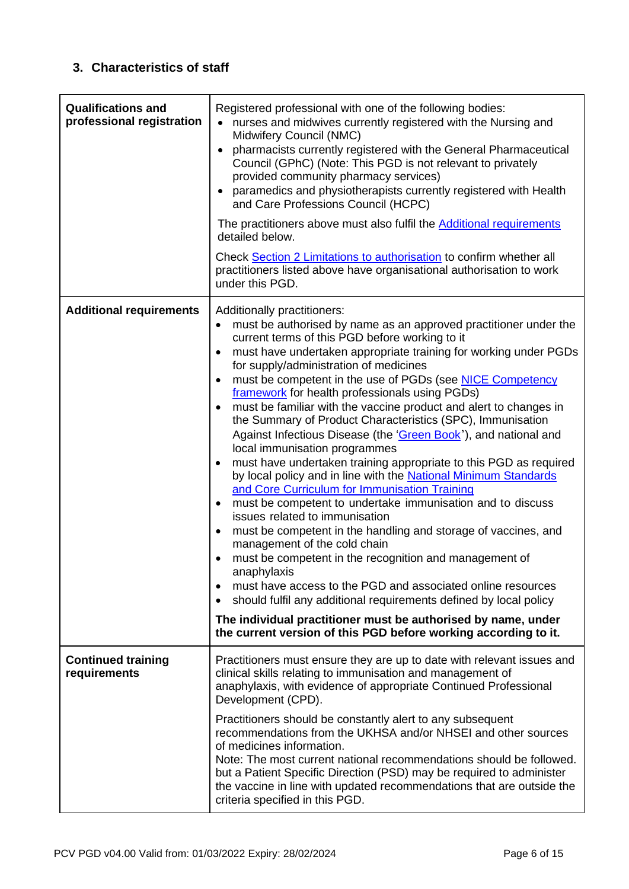### <span id="page-5-0"></span>**3. Characteristics of staff**

<span id="page-5-1"></span>

| <b>Qualifications and</b><br>professional registration | Registered professional with one of the following bodies:<br>nurses and midwives currently registered with the Nursing and<br>Midwifery Council (NMC)<br>pharmacists currently registered with the General Pharmaceutical<br>$\bullet$<br>Council (GPhC) (Note: This PGD is not relevant to privately<br>provided community pharmacy services)<br>paramedics and physiotherapists currently registered with Health<br>and Care Professions Council (HCPC)<br>The practitioners above must also fulfil the Additional requirements<br>detailed below.<br>Check Section 2 Limitations to authorisation to confirm whether all<br>practitioners listed above have organisational authorisation to work<br>under this PGD.                                                                                                                                                                                                                                                                                                                                                                                                                                                                                                                                                                                                                                                                                                                                                    |
|--------------------------------------------------------|---------------------------------------------------------------------------------------------------------------------------------------------------------------------------------------------------------------------------------------------------------------------------------------------------------------------------------------------------------------------------------------------------------------------------------------------------------------------------------------------------------------------------------------------------------------------------------------------------------------------------------------------------------------------------------------------------------------------------------------------------------------------------------------------------------------------------------------------------------------------------------------------------------------------------------------------------------------------------------------------------------------------------------------------------------------------------------------------------------------------------------------------------------------------------------------------------------------------------------------------------------------------------------------------------------------------------------------------------------------------------------------------------------------------------------------------------------------------------|
| <b>Additional requirements</b>                         | Additionally practitioners:<br>must be authorised by name as an approved practitioner under the<br>$\bullet$<br>current terms of this PGD before working to it<br>must have undertaken appropriate training for working under PGDs<br>$\bullet$<br>for supply/administration of medicines<br>must be competent in the use of PGDs (see NICE Competency<br>$\bullet$<br>framework for health professionals using PGDs)<br>must be familiar with the vaccine product and alert to changes in<br>$\bullet$<br>the Summary of Product Characteristics (SPC), Immunisation<br>Against Infectious Disease (the 'Green Book'), and national and<br>local immunisation programmes<br>must have undertaken training appropriate to this PGD as required<br>by local policy and in line with the National Minimum Standards<br>and Core Curriculum for Immunisation Training<br>must be competent to undertake immunisation and to discuss<br>$\bullet$<br>issues related to immunisation<br>must be competent in the handling and storage of vaccines, and<br>$\bullet$<br>management of the cold chain<br>must be competent in the recognition and management of<br>anaphylaxis<br>must have access to the PGD and associated online resources<br>$\bullet$<br>should fulfil any additional requirements defined by local policy<br>$\bullet$<br>The individual practitioner must be authorised by name, under<br>the current version of this PGD before working according to it. |
| <b>Continued training</b><br>requirements              | Practitioners must ensure they are up to date with relevant issues and<br>clinical skills relating to immunisation and management of<br>anaphylaxis, with evidence of appropriate Continued Professional<br>Development (CPD).<br>Practitioners should be constantly alert to any subsequent<br>recommendations from the UKHSA and/or NHSEI and other sources<br>of medicines information.<br>Note: The most current national recommendations should be followed.<br>but a Patient Specific Direction (PSD) may be required to administer<br>the vaccine in line with updated recommendations that are outside the<br>criteria specified in this PGD.                                                                                                                                                                                                                                                                                                                                                                                                                                                                                                                                                                                                                                                                                                                                                                                                                     |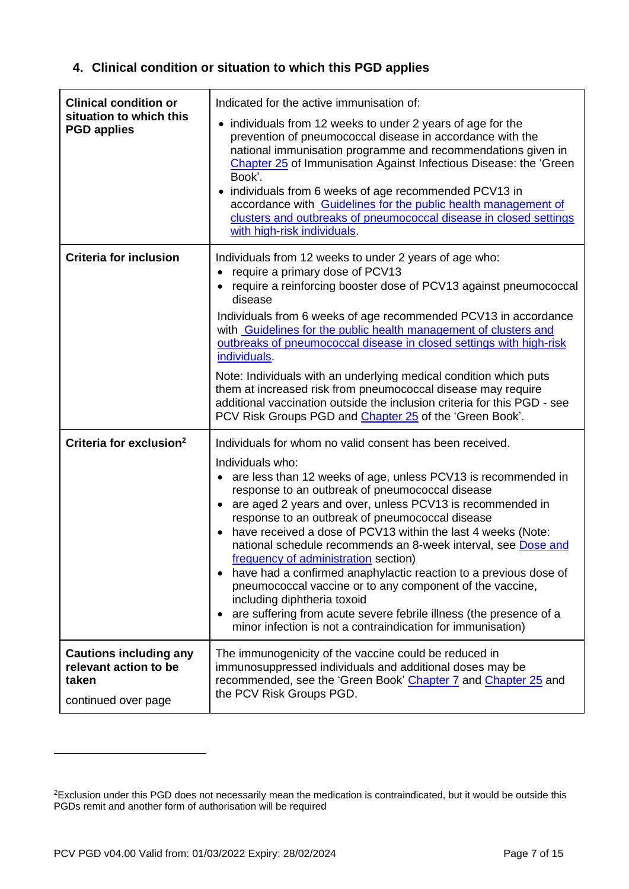# **4. Clinical condition or situation to which this PGD applies**

| <b>Clinical condition or</b><br>situation to which this<br><b>PGD applies</b>          | Indicated for the active immunisation of:<br>individuals from 12 weeks to under 2 years of age for the<br>$\bullet$<br>prevention of pneumococcal disease in accordance with the<br>national immunisation programme and recommendations given in<br>Chapter 25 of Immunisation Against Infectious Disease: the 'Green<br>Book'.<br>• individuals from 6 weeks of age recommended PCV13 in<br>accordance with Guidelines for the public health management of<br>clusters and outbreaks of pneumococcal disease in closed settings<br>with high-risk individuals.                                                                                                                                                                                                                                                                           |
|----------------------------------------------------------------------------------------|-------------------------------------------------------------------------------------------------------------------------------------------------------------------------------------------------------------------------------------------------------------------------------------------------------------------------------------------------------------------------------------------------------------------------------------------------------------------------------------------------------------------------------------------------------------------------------------------------------------------------------------------------------------------------------------------------------------------------------------------------------------------------------------------------------------------------------------------|
| <b>Criteria for inclusion</b>                                                          | Individuals from 12 weeks to under 2 years of age who:<br>require a primary dose of PCV13<br>require a reinforcing booster dose of PCV13 against pneumococcal<br>disease<br>Individuals from 6 weeks of age recommended PCV13 in accordance<br>with Guidelines for the public health management of clusters and<br>outbreaks of pneumococcal disease in closed settings with high-risk<br>individuals.<br>Note: Individuals with an underlying medical condition which puts<br>them at increased risk from pneumococcal disease may require<br>additional vaccination outside the inclusion criteria for this PGD - see<br>PCV Risk Groups PGD and Chapter 25 of the 'Green Book'.                                                                                                                                                        |
| Criteria for exclusion <sup>2</sup>                                                    | Individuals for whom no valid consent has been received.<br>Individuals who:<br>are less than 12 weeks of age, unless PCV13 is recommended in<br>$\bullet$<br>response to an outbreak of pneumococcal disease<br>are aged 2 years and over, unless PCV13 is recommended in<br>$\bullet$<br>response to an outbreak of pneumococcal disease<br>have received a dose of PCV13 within the last 4 weeks (Note:<br>national schedule recommends an 8-week interval, see Dose and<br>frequency of administration section)<br>have had a confirmed anaphylactic reaction to a previous dose of<br>$\bullet$<br>pneumococcal vaccine or to any component of the vaccine,<br>including diphtheria toxoid<br>are suffering from acute severe febrile illness (the presence of a<br>٠<br>minor infection is not a contraindication for immunisation) |
| <b>Cautions including any</b><br>relevant action to be<br>taken<br>continued over page | The immunogenicity of the vaccine could be reduced in<br>immunosuppressed individuals and additional doses may be<br>recommended, see the 'Green Book' Chapter 7 and Chapter 25 and<br>the PCV Risk Groups PGD.                                                                                                                                                                                                                                                                                                                                                                                                                                                                                                                                                                                                                           |

<sup>&</sup>lt;sup>2</sup>Exclusion under this PGD does not necessarily mean the medication is contraindicated, but it would be outside this PGDs remit and another form of authorisation will be required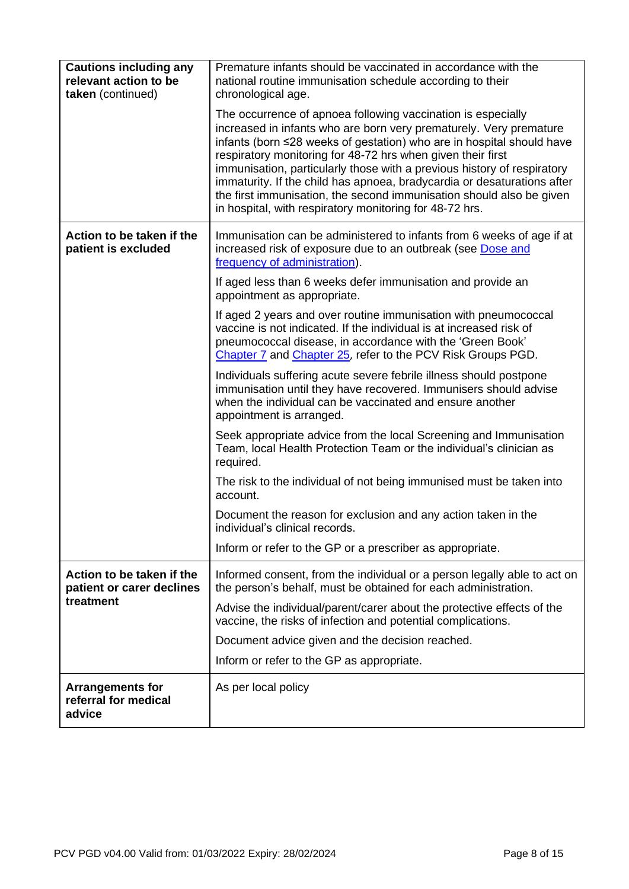| <b>Cautions including any</b><br>relevant action to be<br>taken (continued) | Premature infants should be vaccinated in accordance with the<br>national routine immunisation schedule according to their<br>chronological age.                                                                                                                                                                                                                                                                                                                                                                                                                    |
|-----------------------------------------------------------------------------|---------------------------------------------------------------------------------------------------------------------------------------------------------------------------------------------------------------------------------------------------------------------------------------------------------------------------------------------------------------------------------------------------------------------------------------------------------------------------------------------------------------------------------------------------------------------|
|                                                                             | The occurrence of apnoea following vaccination is especially<br>increased in infants who are born very prematurely. Very premature<br>infants (born ≤28 weeks of gestation) who are in hospital should have<br>respiratory monitoring for 48-72 hrs when given their first<br>immunisation, particularly those with a previous history of respiratory<br>immaturity. If the child has apnoea, bradycardia or desaturations after<br>the first immunisation, the second immunisation should also be given<br>in hospital, with respiratory monitoring for 48-72 hrs. |
| Action to be taken if the<br>patient is excluded                            | Immunisation can be administered to infants from 6 weeks of age if at<br>increased risk of exposure due to an outbreak (see Dose and<br>frequency of administration).                                                                                                                                                                                                                                                                                                                                                                                               |
|                                                                             | If aged less than 6 weeks defer immunisation and provide an<br>appointment as appropriate.                                                                                                                                                                                                                                                                                                                                                                                                                                                                          |
|                                                                             | If aged 2 years and over routine immunisation with pneumococcal<br>vaccine is not indicated. If the individual is at increased risk of<br>pneumococcal disease, in accordance with the 'Green Book'<br>Chapter 7 and Chapter 25, refer to the PCV Risk Groups PGD.                                                                                                                                                                                                                                                                                                  |
|                                                                             | Individuals suffering acute severe febrile illness should postpone<br>immunisation until they have recovered. Immunisers should advise<br>when the individual can be vaccinated and ensure another<br>appointment is arranged.                                                                                                                                                                                                                                                                                                                                      |
|                                                                             | Seek appropriate advice from the local Screening and Immunisation<br>Team, local Health Protection Team or the individual's clinician as<br>required.                                                                                                                                                                                                                                                                                                                                                                                                               |
|                                                                             | The risk to the individual of not being immunised must be taken into<br>account.                                                                                                                                                                                                                                                                                                                                                                                                                                                                                    |
|                                                                             | Document the reason for exclusion and any action taken in the<br>individual's clinical records.                                                                                                                                                                                                                                                                                                                                                                                                                                                                     |
|                                                                             | Inform or refer to the GP or a prescriber as appropriate.                                                                                                                                                                                                                                                                                                                                                                                                                                                                                                           |
| Action to be taken if the<br>patient or carer declines                      | Informed consent, from the individual or a person legally able to act on<br>the person's behalf, must be obtained for each administration.                                                                                                                                                                                                                                                                                                                                                                                                                          |
| treatment                                                                   | Advise the individual/parent/carer about the protective effects of the<br>vaccine, the risks of infection and potential complications.                                                                                                                                                                                                                                                                                                                                                                                                                              |
|                                                                             | Document advice given and the decision reached.                                                                                                                                                                                                                                                                                                                                                                                                                                                                                                                     |
|                                                                             | Inform or refer to the GP as appropriate.                                                                                                                                                                                                                                                                                                                                                                                                                                                                                                                           |
| <b>Arrangements for</b><br>referral for medical<br>advice                   | As per local policy                                                                                                                                                                                                                                                                                                                                                                                                                                                                                                                                                 |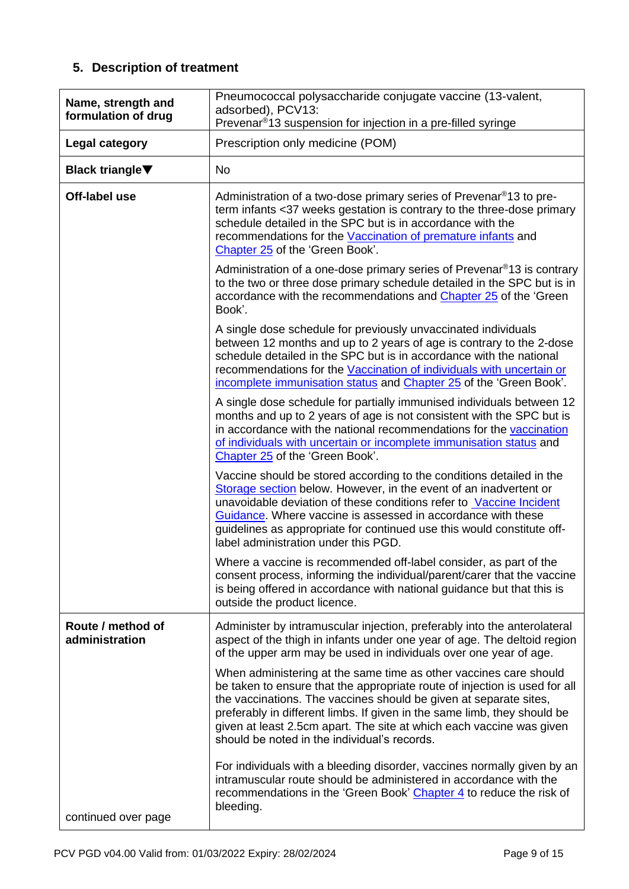# **5. Description of treatment**

| Name, strength and<br>formulation of drug | Pneumococcal polysaccharide conjugate vaccine (13-valent,<br>adsorbed), PCV13:<br>Prevenar <sup>®</sup> 13 suspension for injection in a pre-filled syringe                                                                                                                                                                                                                                                              |
|-------------------------------------------|--------------------------------------------------------------------------------------------------------------------------------------------------------------------------------------------------------------------------------------------------------------------------------------------------------------------------------------------------------------------------------------------------------------------------|
| Legal category                            | Prescription only medicine (POM)                                                                                                                                                                                                                                                                                                                                                                                         |
| <b>Black triangle</b> ▼                   | <b>No</b>                                                                                                                                                                                                                                                                                                                                                                                                                |
| Off-label use                             | Administration of a two-dose primary series of Prevenar <sup>®</sup> 13 to pre-<br>term infants <37 weeks gestation is contrary to the three-dose primary<br>schedule detailed in the SPC but is in accordance with the<br>recommendations for the Vaccination of premature infants and<br>Chapter 25 of the 'Green Book'.                                                                                               |
|                                           | Administration of a one-dose primary series of Prevenar <sup>®</sup> 13 is contrary<br>to the two or three dose primary schedule detailed in the SPC but is in<br>accordance with the recommendations and Chapter 25 of the 'Green'<br>Book'.                                                                                                                                                                            |
|                                           | A single dose schedule for previously unvaccinated individuals<br>between 12 months and up to 2 years of age is contrary to the 2-dose<br>schedule detailed in the SPC but is in accordance with the national<br>recommendations for the Vaccination of individuals with uncertain or<br>incomplete immunisation status and Chapter 25 of the 'Green Book'.                                                              |
|                                           | A single dose schedule for partially immunised individuals between 12<br>months and up to 2 years of age is not consistent with the SPC but is<br>in accordance with the national recommendations for the vaccination<br>of individuals with uncertain or incomplete immunisation status and<br>Chapter 25 of the 'Green Book'.                                                                                          |
|                                           | Vaccine should be stored according to the conditions detailed in the<br>Storage section below. However, in the event of an inadvertent or<br>unavoidable deviation of these conditions refer to Vaccine Incident<br>Guidance. Where vaccine is assessed in accordance with these<br>guidelines as appropriate for continued use this would constitute off-<br>label administration under this PGD.                       |
|                                           | Where a vaccine is recommended off-label consider, as part of the<br>consent process, informing the individual/parent/carer that the vaccine<br>is being offered in accordance with national guidance but that this is<br>outside the product licence.                                                                                                                                                                   |
| Route / method of<br>administration       | Administer by intramuscular injection, preferably into the anterolateral<br>aspect of the thigh in infants under one year of age. The deltoid region<br>of the upper arm may be used in individuals over one year of age.                                                                                                                                                                                                |
|                                           | When administering at the same time as other vaccines care should<br>be taken to ensure that the appropriate route of injection is used for all<br>the vaccinations. The vaccines should be given at separate sites,<br>preferably in different limbs. If given in the same limb, they should be<br>given at least 2.5cm apart. The site at which each vaccine was given<br>should be noted in the individual's records. |
| continued over page                       | For individuals with a bleeding disorder, vaccines normally given by an<br>intramuscular route should be administered in accordance with the<br>recommendations in the 'Green Book' Chapter 4 to reduce the risk of<br>bleeding.                                                                                                                                                                                         |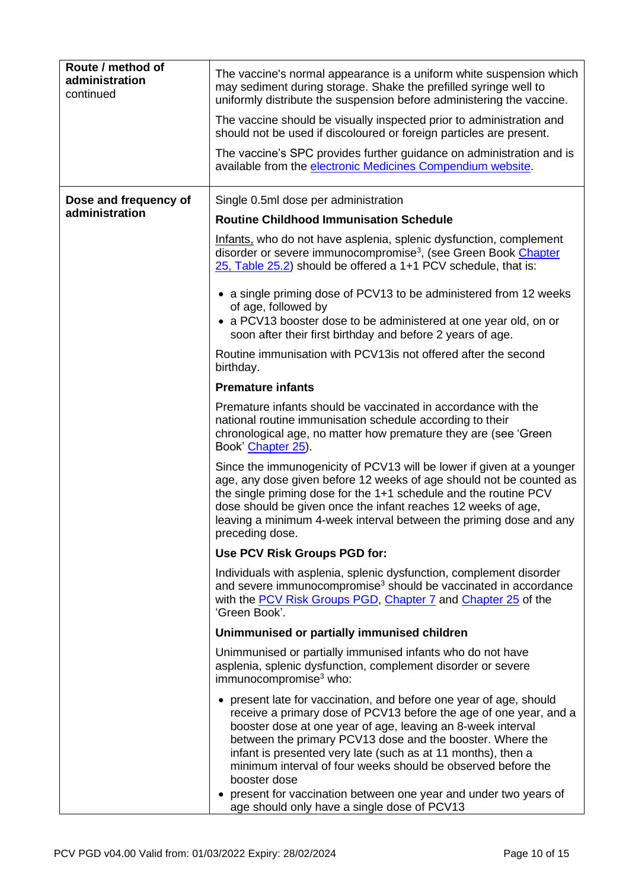<span id="page-9-1"></span><span id="page-9-0"></span>

| Route / method of<br>administration<br>continued | The vaccine's normal appearance is a uniform white suspension which<br>may sediment during storage. Shake the prefilled syringe well to<br>uniformly distribute the suspension before administering the vaccine.                                                                                                                                                                                                                                                                       |
|--------------------------------------------------|----------------------------------------------------------------------------------------------------------------------------------------------------------------------------------------------------------------------------------------------------------------------------------------------------------------------------------------------------------------------------------------------------------------------------------------------------------------------------------------|
|                                                  | The vaccine should be visually inspected prior to administration and<br>should not be used if discoloured or foreign particles are present.                                                                                                                                                                                                                                                                                                                                            |
|                                                  | The vaccine's SPC provides further guidance on administration and is<br>available from the electronic Medicines Compendium website.                                                                                                                                                                                                                                                                                                                                                    |
| Dose and frequency of                            | Single 0.5ml dose per administration                                                                                                                                                                                                                                                                                                                                                                                                                                                   |
| administration                                   | <b>Routine Childhood Immunisation Schedule</b>                                                                                                                                                                                                                                                                                                                                                                                                                                         |
|                                                  | Infants, who do not have asplenia, splenic dysfunction, complement<br>disorder or severe immunocompromise <sup>3</sup> , (see Green Book Chapter<br>25, Table 25.2) should be offered a 1+1 PCV schedule, that is:                                                                                                                                                                                                                                                                     |
|                                                  | • a single priming dose of PCV13 to be administered from 12 weeks<br>of age, followed by                                                                                                                                                                                                                                                                                                                                                                                               |
|                                                  | • a PCV13 booster dose to be administered at one year old, on or<br>soon after their first birthday and before 2 years of age.                                                                                                                                                                                                                                                                                                                                                         |
|                                                  | Routine immunisation with PCV13is not offered after the second<br>birthday.                                                                                                                                                                                                                                                                                                                                                                                                            |
|                                                  | <b>Premature infants</b>                                                                                                                                                                                                                                                                                                                                                                                                                                                               |
|                                                  | Premature infants should be vaccinated in accordance with the<br>national routine immunisation schedule according to their<br>chronological age, no matter how premature they are (see 'Green'<br>Book' Chapter 25).                                                                                                                                                                                                                                                                   |
|                                                  | Since the immunogenicity of PCV13 will be lower if given at a younger<br>age, any dose given before 12 weeks of age should not be counted as<br>the single priming dose for the 1+1 schedule and the routine PCV<br>dose should be given once the infant reaches 12 weeks of age,<br>leaving a minimum 4-week interval between the priming dose and any<br>preceding dose.                                                                                                             |
|                                                  | Use PCV Risk Groups PGD for:                                                                                                                                                                                                                                                                                                                                                                                                                                                           |
|                                                  | Individuals with asplenia, splenic dysfunction, complement disorder<br>and severe immunocompromise <sup>3</sup> should be vaccinated in accordance<br>with the PCV Risk Groups PGD, Chapter 7 and Chapter 25 of the<br>'Green Book'.                                                                                                                                                                                                                                                   |
|                                                  | Unimmunised or partially immunised children                                                                                                                                                                                                                                                                                                                                                                                                                                            |
|                                                  | Unimmunised or partially immunised infants who do not have<br>asplenia, splenic dysfunction, complement disorder or severe<br>immunocompromise <sup>3</sup> who:                                                                                                                                                                                                                                                                                                                       |
|                                                  | • present late for vaccination, and before one year of age, should<br>receive a primary dose of PCV13 before the age of one year, and a<br>booster dose at one year of age, leaving an 8-week interval<br>between the primary PCV13 dose and the booster. Where the<br>infant is presented very late (such as at 11 months), then a<br>minimum interval of four weeks should be observed before the<br>booster dose<br>present for vaccination between one year and under two years of |
|                                                  | age should only have a single dose of PCV13                                                                                                                                                                                                                                                                                                                                                                                                                                            |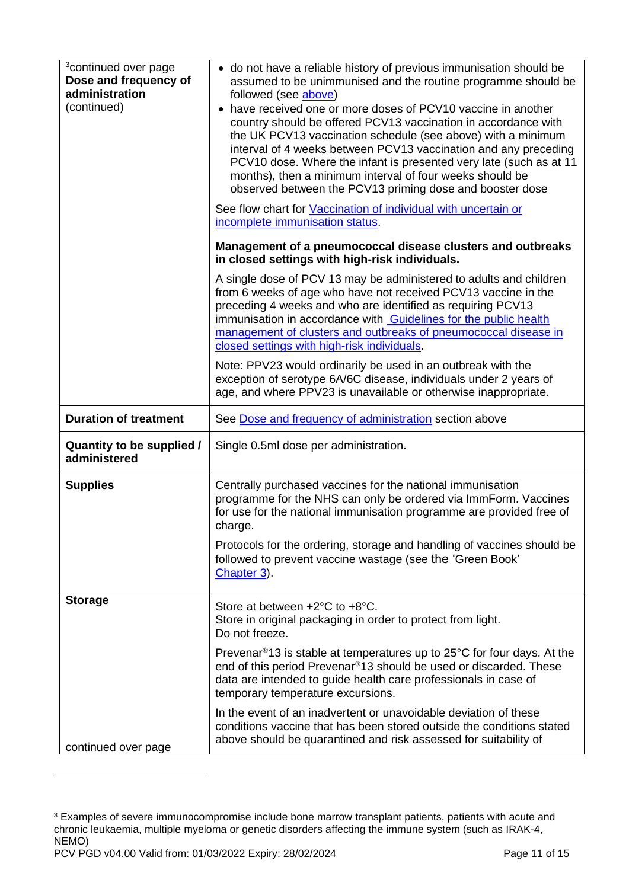<span id="page-10-1"></span>

| <sup>3</sup> continued over page<br>Dose and frequency of<br>administration<br>(continued) | • do not have a reliable history of previous immunisation should be<br>assumed to be unimmunised and the routine programme should be<br>followed (see above)<br>have received one or more doses of PCV10 vaccine in another<br>country should be offered PCV13 vaccination in accordance with<br>the UK PCV13 vaccination schedule (see above) with a minimum<br>interval of 4 weeks between PCV13 vaccination and any preceding<br>PCV10 dose. Where the infant is presented very late (such as at 11<br>months), then a minimum interval of four weeks should be<br>observed between the PCV13 priming dose and booster dose<br>See flow chart for Vaccination of individual with uncertain or<br>incomplete immunisation status. |
|--------------------------------------------------------------------------------------------|-------------------------------------------------------------------------------------------------------------------------------------------------------------------------------------------------------------------------------------------------------------------------------------------------------------------------------------------------------------------------------------------------------------------------------------------------------------------------------------------------------------------------------------------------------------------------------------------------------------------------------------------------------------------------------------------------------------------------------------|
|                                                                                            | Management of a pneumococcal disease clusters and outbreaks<br>in closed settings with high-risk individuals.                                                                                                                                                                                                                                                                                                                                                                                                                                                                                                                                                                                                                       |
|                                                                                            | A single dose of PCV 13 may be administered to adults and children<br>from 6 weeks of age who have not received PCV13 vaccine in the<br>preceding 4 weeks and who are identified as requiring PCV13<br>immunisation in accordance with Guidelines for the public health<br>management of clusters and outbreaks of pneumococcal disease in<br>closed settings with high-risk individuals.                                                                                                                                                                                                                                                                                                                                           |
|                                                                                            | Note: PPV23 would ordinarily be used in an outbreak with the<br>exception of serotype 6A/6C disease, individuals under 2 years of<br>age, and where PPV23 is unavailable or otherwise inappropriate.                                                                                                                                                                                                                                                                                                                                                                                                                                                                                                                                |
| <b>Duration of treatment</b>                                                               | See Dose and frequency of administration section above                                                                                                                                                                                                                                                                                                                                                                                                                                                                                                                                                                                                                                                                              |
| <b>Quantity to be supplied /</b><br>administered                                           | Single 0.5ml dose per administration.                                                                                                                                                                                                                                                                                                                                                                                                                                                                                                                                                                                                                                                                                               |
| <b>Supplies</b>                                                                            | Centrally purchased vaccines for the national immunisation<br>programme for the NHS can only be ordered via ImmForm. Vaccines<br>for use for the national immunisation programme are provided free of<br>charge.<br>Protocols for the ordering, storage and handling of vaccines should be<br>followed to prevent vaccine wastage (see the 'Green Book'<br>Chapter 3).                                                                                                                                                                                                                                                                                                                                                              |
| <b>Storage</b>                                                                             | Store at between +2°C to +8°C.<br>Store in original packaging in order to protect from light.<br>Do not freeze.                                                                                                                                                                                                                                                                                                                                                                                                                                                                                                                                                                                                                     |
|                                                                                            | Prevenar®13 is stable at temperatures up to 25°C for four days. At the<br>end of this period Prevenar <sup>®</sup> 13 should be used or discarded. These<br>data are intended to guide health care professionals in case of<br>temporary temperature excursions.                                                                                                                                                                                                                                                                                                                                                                                                                                                                    |
| continued over page                                                                        | In the event of an inadvertent or unavoidable deviation of these<br>conditions vaccine that has been stored outside the conditions stated<br>above should be quarantined and risk assessed for suitability of                                                                                                                                                                                                                                                                                                                                                                                                                                                                                                                       |

<span id="page-10-0"></span>PCV PGD v04.00 Valid from: 01/03/2022 Expiry: 28/02/2024 Page 11 of 15 <sup>3</sup> Examples of severe immunocompromise include bone marrow transplant patients, patients with acute and chronic leukaemia, multiple myeloma or genetic disorders affecting the immune system (such as IRAK-4, NEMO)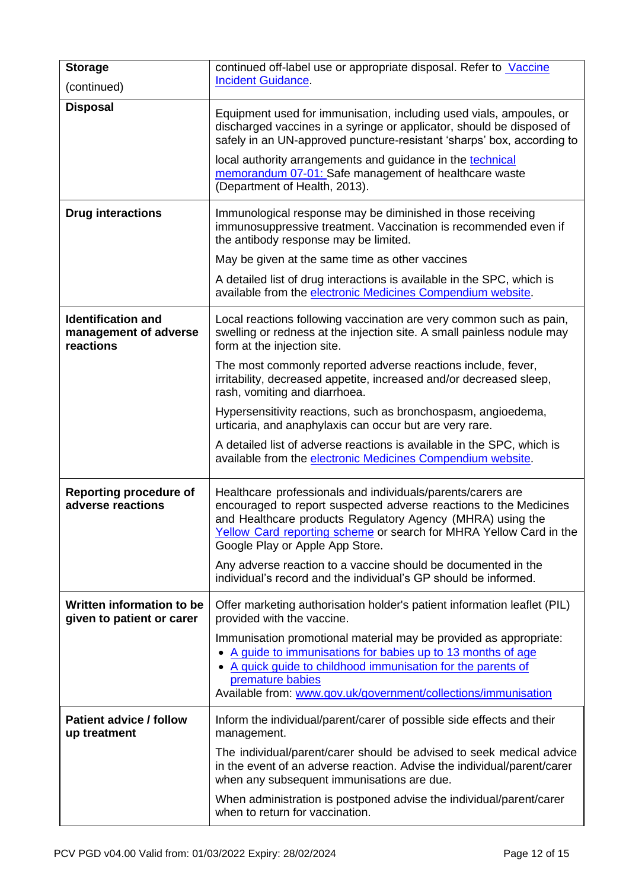| <b>Storage</b><br>(continued)                                   | continued off-label use or appropriate disposal. Refer to Vaccine<br><b>Incident Guidance.</b>                                                                                                                                                                                                          |  |  |  |
|-----------------------------------------------------------------|---------------------------------------------------------------------------------------------------------------------------------------------------------------------------------------------------------------------------------------------------------------------------------------------------------|--|--|--|
| <b>Disposal</b>                                                 | Equipment used for immunisation, including used vials, ampoules, or<br>discharged vaccines in a syringe or applicator, should be disposed of<br>safely in an UN-approved puncture-resistant 'sharps' box, according to                                                                                  |  |  |  |
|                                                                 | local authority arrangements and guidance in the technical<br>memorandum 07-01: Safe management of healthcare waste<br>(Department of Health, 2013).                                                                                                                                                    |  |  |  |
| <b>Drug interactions</b>                                        | Immunological response may be diminished in those receiving<br>immunosuppressive treatment. Vaccination is recommended even if<br>the antibody response may be limited.                                                                                                                                 |  |  |  |
|                                                                 | May be given at the same time as other vaccines                                                                                                                                                                                                                                                         |  |  |  |
|                                                                 | A detailed list of drug interactions is available in the SPC, which is<br>available from the electronic Medicines Compendium website.                                                                                                                                                                   |  |  |  |
| <b>Identification and</b><br>management of adverse<br>reactions | Local reactions following vaccination are very common such as pain,<br>swelling or redness at the injection site. A small painless nodule may<br>form at the injection site.                                                                                                                            |  |  |  |
|                                                                 | The most commonly reported adverse reactions include, fever,<br>irritability, decreased appetite, increased and/or decreased sleep,<br>rash, vomiting and diarrhoea.                                                                                                                                    |  |  |  |
|                                                                 | Hypersensitivity reactions, such as bronchospasm, angioedema,<br>urticaria, and anaphylaxis can occur but are very rare.                                                                                                                                                                                |  |  |  |
|                                                                 | A detailed list of adverse reactions is available in the SPC, which is<br>available from the electronic Medicines Compendium website.                                                                                                                                                                   |  |  |  |
| <b>Reporting procedure of</b><br>adverse reactions              | Healthcare professionals and individuals/parents/carers are<br>encouraged to report suspected adverse reactions to the Medicines<br>and Healthcare products Regulatory Agency (MHRA) using the<br>Yellow Card reporting scheme or search for MHRA Yellow Card in the<br>Google Play or Apple App Store. |  |  |  |
|                                                                 | Any adverse reaction to a vaccine should be documented in the<br>individual's record and the individual's GP should be informed.                                                                                                                                                                        |  |  |  |
| Written information to be<br>given to patient or carer          | Offer marketing authorisation holder's patient information leaflet (PIL)<br>provided with the vaccine.                                                                                                                                                                                                  |  |  |  |
|                                                                 | Immunisation promotional material may be provided as appropriate:<br>A guide to immunisations for babies up to 13 months of age<br>A quick guide to childhood immunisation for the parents of<br>premature babies                                                                                       |  |  |  |
|                                                                 | Available from: www.gov.uk/government/collections/immunisation                                                                                                                                                                                                                                          |  |  |  |
| <b>Patient advice / follow</b><br>up treatment                  | Inform the individual/parent/carer of possible side effects and their<br>management.                                                                                                                                                                                                                    |  |  |  |
|                                                                 | The individual/parent/carer should be advised to seek medical advice<br>in the event of an adverse reaction. Advise the individual/parent/carer<br>when any subsequent immunisations are due.                                                                                                           |  |  |  |
|                                                                 | When administration is postponed advise the individual/parent/carer<br>when to return for vaccination.                                                                                                                                                                                                  |  |  |  |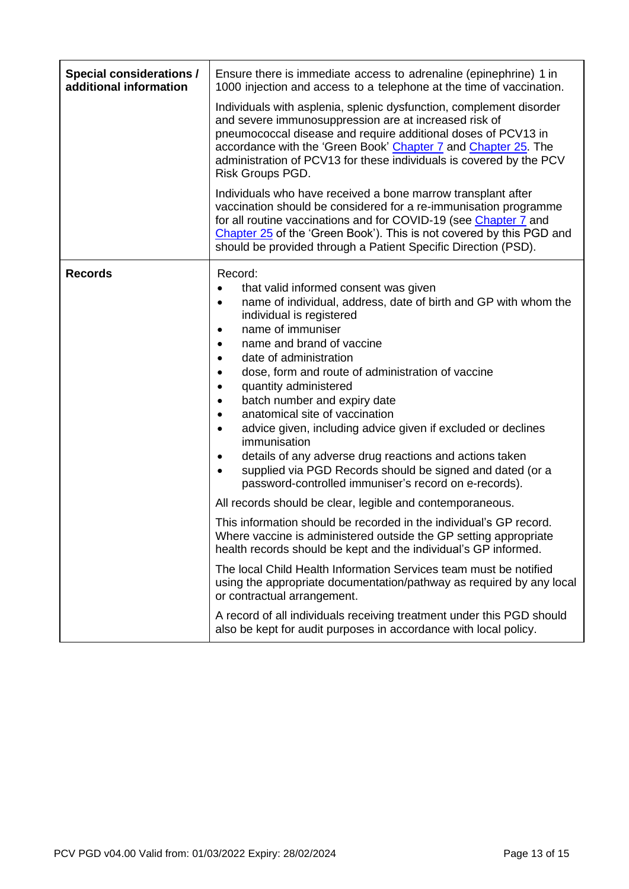| <b>Special considerations /</b><br>additional information | Ensure there is immediate access to adrenaline (epinephrine) 1 in<br>1000 injection and access to a telephone at the time of vaccination.<br>Individuals with asplenia, splenic dysfunction, complement disorder<br>and severe immunosuppression are at increased risk of<br>pneumococcal disease and require additional doses of PCV13 in<br>accordance with the 'Green Book' Chapter 7 and Chapter 25. The<br>administration of PCV13 for these individuals is covered by the PCV<br>Risk Groups PGD.<br>Individuals who have received a bone marrow transplant after<br>vaccination should be considered for a re-immunisation programme<br>for all routine vaccinations and for COVID-19 (see Chapter 7 and<br>Chapter 25 of the 'Green Book'). This is not covered by this PGD and<br>should be provided through a Patient Specific Direction (PSD). |  |
|-----------------------------------------------------------|-----------------------------------------------------------------------------------------------------------------------------------------------------------------------------------------------------------------------------------------------------------------------------------------------------------------------------------------------------------------------------------------------------------------------------------------------------------------------------------------------------------------------------------------------------------------------------------------------------------------------------------------------------------------------------------------------------------------------------------------------------------------------------------------------------------------------------------------------------------|--|
| <b>Records</b>                                            | Record:<br>that valid informed consent was given<br>name of individual, address, date of birth and GP with whom the<br>$\bullet$<br>individual is registered<br>name of immuniser<br>name and brand of vaccine<br>date of administration<br>dose, form and route of administration of vaccine<br>quantity administered<br>$\bullet$<br>batch number and expiry date<br>anatomical site of vaccination<br>advice given, including advice given if excluded or declines<br>$\bullet$<br>immunisation<br>details of any adverse drug reactions and actions taken<br>supplied via PGD Records should be signed and dated (or a<br>password-controlled immuniser's record on e-records).                                                                                                                                                                       |  |
|                                                           | All records should be clear, legible and contemporaneous.<br>This information should be recorded in the individual's GP record.<br>Where vaccine is administered outside the GP setting appropriate<br>health records should be kept and the individual's GP informed.<br>The local Child Health Information Services team must be notified<br>using the appropriate documentation/pathway as required by any local<br>or contractual arrangement.<br>A record of all individuals receiving treatment under this PGD should<br>also be kept for audit purposes in accordance with local policy.                                                                                                                                                                                                                                                           |  |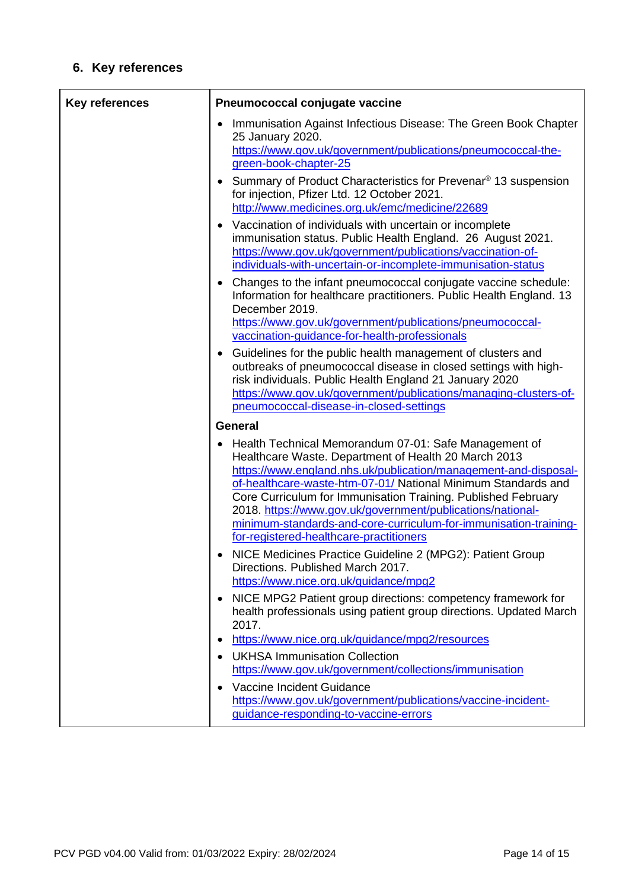# **6. Key references**

| <b>Key references</b> | Pneumococcal conjugate vaccine                                                                                                                                                                                                                                                                                                                                                                                                                                                                  |  |
|-----------------------|-------------------------------------------------------------------------------------------------------------------------------------------------------------------------------------------------------------------------------------------------------------------------------------------------------------------------------------------------------------------------------------------------------------------------------------------------------------------------------------------------|--|
|                       | Immunisation Against Infectious Disease: The Green Book Chapter<br>25 January 2020.<br>https://www.gov.uk/government/publications/pneumococcal-the-<br>green-book-chapter-25                                                                                                                                                                                                                                                                                                                    |  |
|                       | Summary of Product Characteristics for Prevenar <sup>®</sup> 13 suspension<br>for injection, Pfizer Ltd. 12 October 2021.<br>http://www.medicines.org.uk/emc/medicine/22689                                                                                                                                                                                                                                                                                                                     |  |
|                       | Vaccination of individuals with uncertain or incomplete<br>immunisation status. Public Health England. 26 August 2021.<br>https://www.gov.uk/government/publications/vaccination-of-<br>individuals-with-uncertain-or-incomplete-immunisation-status                                                                                                                                                                                                                                            |  |
|                       | Changes to the infant pneumococcal conjugate vaccine schedule:<br>Information for healthcare practitioners. Public Health England. 13<br>December 2019.<br>https://www.gov.uk/government/publications/pneumococcal-<br>vaccination-guidance-for-health-professionals                                                                                                                                                                                                                            |  |
|                       | Guidelines for the public health management of clusters and<br>outbreaks of pneumococcal disease in closed settings with high-<br>risk individuals. Public Health England 21 January 2020<br>https://www.gov.uk/government/publications/managing-clusters-of-<br>pneumococcal-disease-in-closed-settings                                                                                                                                                                                        |  |
|                       | <b>General</b>                                                                                                                                                                                                                                                                                                                                                                                                                                                                                  |  |
|                       | Health Technical Memorandum 07-01: Safe Management of<br>Healthcare Waste. Department of Health 20 March 2013<br>https://www.england.nhs.uk/publication/management-and-disposal-<br>of-healthcare-waste-htm-07-01/ National Minimum Standards and<br>Core Curriculum for Immunisation Training. Published February<br>2018. https://www.gov.uk/government/publications/national-<br>minimum-standards-and-core-curriculum-for-immunisation-training-<br>for-registered-healthcare-practitioners |  |
|                       | NICE Medicines Practice Guideline 2 (MPG2): Patient Group<br>Directions. Published March 2017.<br>https://www.nice.org.uk/guidance/mpg2                                                                                                                                                                                                                                                                                                                                                         |  |
|                       | NICE MPG2 Patient group directions: competency framework for<br>$\bullet$<br>health professionals using patient group directions. Updated March<br>2017.                                                                                                                                                                                                                                                                                                                                        |  |
|                       | https://www.nice.org.uk/guidance/mpg2/resources<br>$\bullet$                                                                                                                                                                                                                                                                                                                                                                                                                                    |  |
|                       | <b>UKHSA Immunisation Collection</b><br>https://www.gov.uk/government/collections/immunisation                                                                                                                                                                                                                                                                                                                                                                                                  |  |
|                       | Vaccine Incident Guidance<br>https://www.gov.uk/government/publications/vaccine-incident-<br>guidance-responding-to-vaccine-errors                                                                                                                                                                                                                                                                                                                                                              |  |